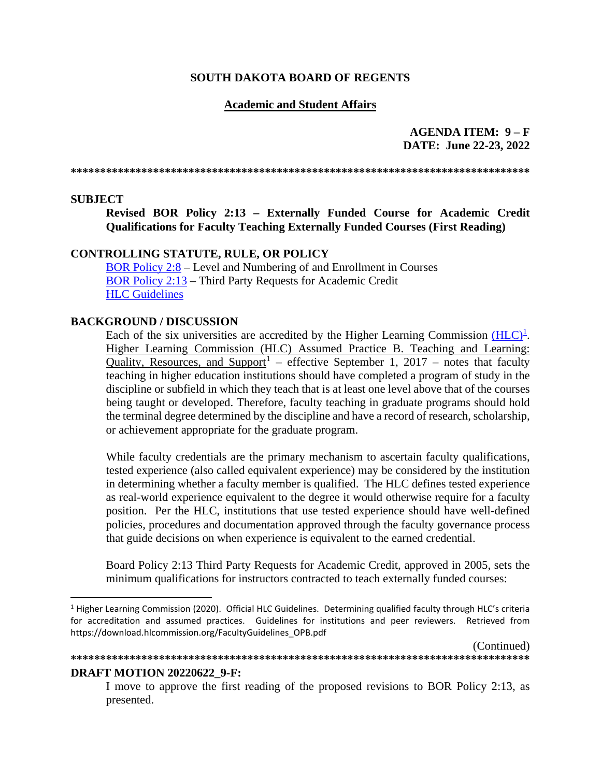#### **SOUTH DAKOTA BOARD OF REGENTS**

#### **Academic and Student Affairs**

#### **AGENDA ITEM: 9 – F DATE: June 22-23, 2022**

**\*\*\*\*\*\*\*\*\*\*\*\*\*\*\*\*\*\*\*\*\*\*\*\*\*\*\*\*\*\*\*\*\*\*\*\*\*\*\*\*\*\*\*\*\*\*\*\*\*\*\*\*\*\*\*\*\*\*\*\*\*\*\*\*\*\*\*\*\*\*\*\*\*\*\*\*\*\***

#### **SUBJECT**

**Revised BOR Policy 2:13 – Externally Funded Course for Academic Credit Qualifications for Faculty Teaching Externally Funded Courses (First Reading)**

#### **CONTROLLING STATUTE, RULE, OR POLICY**

[BOR Policy 2:8](https://www.sdbor.edu/policy/documents/2-8.pdf) – Level and Numbering of and Enrollment in Courses [BOR Policy 2:13](https://www.sdbor.edu/policy/documents/2-13.pdf) – Third Party Requests for Academic Credit **[HLC Guidelines](https://download.hlcommission.org/FacultyGuidelines_OPB.pdf)** 

#### **BACKGROUND / DISCUSSION**

Each of the six universities are accredited by the Higher Learning Commission  $(HLC)^1$  $(HLC)^1$ . Higher Learning Commission (HLC) Assumed Practice B. Teaching and Learning: Quality, Resources, and Support<sup>[1](#page-0-0)</sup> – effective September 1, 2017 – notes that faculty teaching in higher education institutions should have completed a program of study in the discipline or subfield in which they teach that is at least one level above that of the courses being taught or developed. Therefore, faculty teaching in graduate programs should hold the terminal degree determined by the discipline and have a record of research, scholarship, or achievement appropriate for the graduate program.

While faculty credentials are the primary mechanism to ascertain faculty qualifications, tested experience (also called equivalent experience) may be considered by the institution in determining whether a faculty member is qualified. The HLC defines tested experience as real-world experience equivalent to the degree it would otherwise require for a faculty position. Per the HLC, institutions that use tested experience should have well-defined policies, procedures and documentation approved through the faculty governance process that guide decisions on when experience is equivalent to the earned credential.

Board Policy 2:13 Third Party Requests for Academic Credit, approved in 2005, sets the minimum qualifications for instructors contracted to teach externally funded courses:

**\*\*\*\*\*\*\*\*\*\*\*\*\*\*\*\*\*\*\*\*\*\*\*\*\*\*\*\*\*\*\*\*\*\*\*\*\*\*\*\*\*\*\*\*\*\*\*\*\*\*\*\*\*\*\*\*\*\*\*\*\*\*\*\*\*\*\*\*\*\*\*\*\*\*\*\*\*\***

(Continued)

#### **DRAFT MOTION 20220622\_9-F:**

I move to approve the first reading of the proposed revisions to BOR Policy 2:13, as presented.

<span id="page-0-0"></span> $1$  Higher Learning Commission (2020). Official HLC Guidelines. Determining qualified faculty through HLC's criteria for accreditation and assumed practices. Guidelines for institutions and peer reviewers. Retrieved from https://download.hlcommission.org/FacultyGuidelines\_OPB.pdf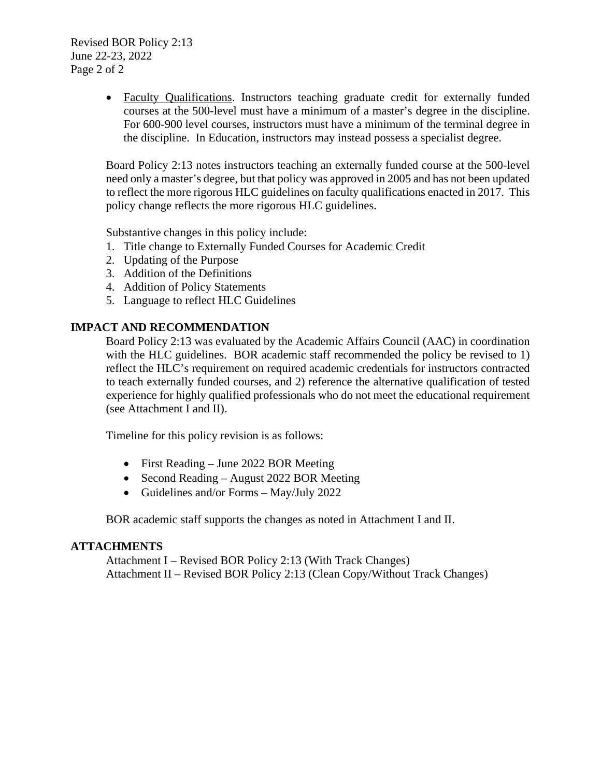Revised BOR Policy 2:13 June 22-23, 2022 Page 2 of 2

> • Faculty Qualifications. Instructors teaching graduate credit for externally funded courses at the 500-level must have a minimum of a master's degree in the discipline. For 600-900 level courses, instructors must have a minimum of the terminal degree in the discipline. In Education, instructors may instead possess a specialist degree.

> Board Policy 2:13 notes instructors teaching an externally funded course at the 500-level need only a master's degree, but that policy was approved in 2005 and has not been updated to reflect the more rigorous HLC guidelines on faculty qualifications enacted in 2017. This policy change reflects the more rigorous HLC guidelines.

Substantive changes in this policy include:

- 1. Title change to Externally Funded Courses for Academic Credit
- 2. Updating of the Purpose
- 3. Addition of the Definitions
- 4. Addition of Policy Statements
- 5. Language to reflect HLC Guidelines

#### **IMPACT AND RECOMMENDATION**

Board Policy 2:13 was evaluated by the Academic Affairs Council (AAC) in coordination with the HLC guidelines. BOR academic staff recommended the policy be revised to 1) reflect the HLC's requirement on required academic credentials for instructors contracted to teach externally funded courses, and 2) reference the alternative qualification of tested experience for highly qualified professionals who do not meet the educational requirement (see Attachment I and II).

Timeline for this policy revision is as follows:

- First Reading June 2022 BOR Meeting
- Second Reading August 2022 BOR Meeting
- Guidelines and/or Forms May/July 2022

BOR academic staff supports the changes as noted in Attachment I and II.

#### **ATTACHMENTS**

Attachment I – Revised BOR Policy 2:13 (With Track Changes) Attachment II – Revised BOR Policy 2:13 (Clean Copy/Without Track Changes)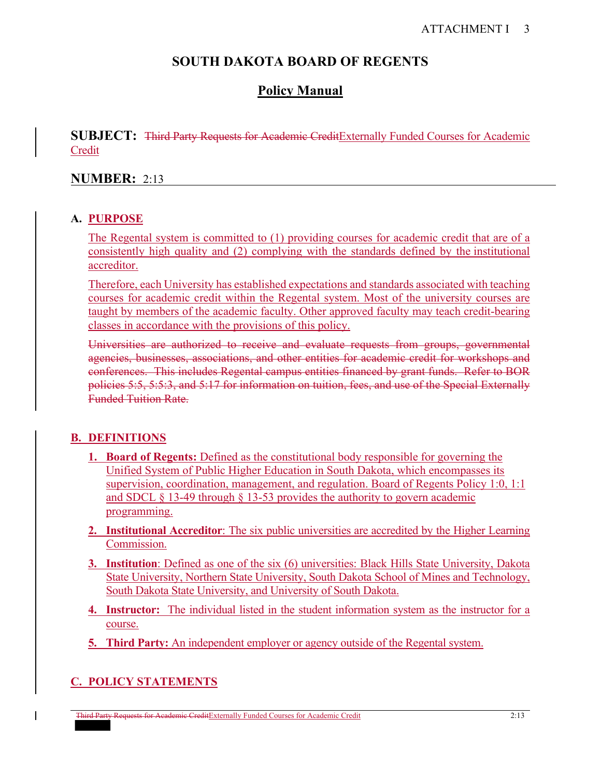# **SOUTH DAKOTA BOARD OF REGENTS**

# **Policy Manual**

**SUBJECT:** Third Party Requests for Academic CreditExternally Funded Courses for Academic Credit

#### **NUMBER:** 2:13

#### **A. PURPOSE**

The Regental system is committed to (1) providing courses for academic credit that are of a consistently high quality and (2) complying with the standards defined by the institutional accreditor.

Therefore, each University has established expectations and standards associated with teaching courses for academic credit within the Regental system. Most of the university courses are taught by members of the academic faculty. Other approved faculty may teach credit-bearing classes in accordance with the provisions of this policy.

Universities are authorized to receive and evaluate requests from groups, governmental agencies, businesses, associations, and other entities for academic credit for workshops and conferences. This includes Regental campus entities financed by grant funds. Refer to BOR policies 5:5, 5:5:3, and 5:17 for information on tuition, fees, and use of the Special Externally Funded Tuition Rate.

## **B. DEFINITIONS**

- **1. Board of Regents:** Defined as the constitutional body responsible for governing the Unified System of Public Higher Education in South Dakota, which encompasses its supervision, coordination, management, and regulation. Board of Regents Policy 1:0, 1:1 and SDCL § 13-49 through § 13-53 provides the authority to govern academic programming.
- **2. Institutional Accreditor**: The six public universities are accredited by the Higher Learning Commission.
- **3. Institution**: Defined as one of the six (6) universities: Black Hills State University, Dakota State University, Northern State University, South Dakota School of Mines and Technology, South Dakota State University, and University of South Dakota.
- **4. Instructor:** The individual listed in the student information system as the instructor for a course.
- **5. Third Party:** An independent employer or agency outside of the Regental system.

## **C. POLICY STATEMENTS**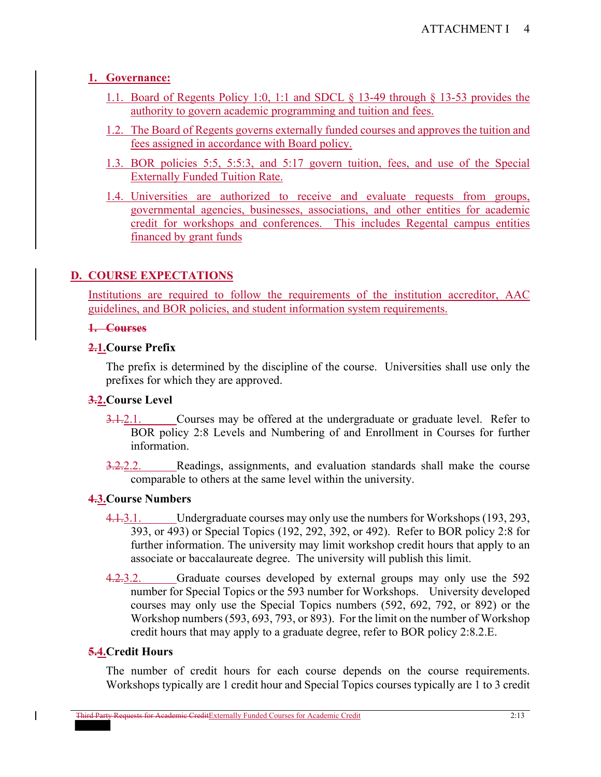# **1. Governance:**

- 1.1. Board of Regents Policy 1:0, 1:1 and SDCL § 13-49 through § 13-53 provides the authority to govern academic programming and tuition and fees.
- 1.2. The Board of Regents governs externally funded courses and approves the tuition and fees assigned in accordance with Board policy.
- 1.3. BOR policies 5:5, 5:5:3, and 5:17 govern tuition, fees, and use of the Special Externally Funded Tuition Rate.
- 1.4. Universities are authorized to receive and evaluate requests from groups, governmental agencies, businesses, associations, and other entities for academic credit for workshops and conferences. This includes Regental campus entities financed by grant funds

# **D. COURSE EXPECTATIONS**

Institutions are required to follow the requirements of the institution accreditor, AAC guidelines, and BOR policies, and student information system requirements.

#### **1. Courses**

## **2.1.Course Prefix**

The prefix is determined by the discipline of the course. Universities shall use only the prefixes for which they are approved.

## **3.2.Course Level**

- 3.1.2.1. Courses may be offered at the undergraduate or graduate level. Refer to BOR policy 2:8 Levels and Numbering of and Enrollment in Courses for further information.
- 3.2.2.2. Readings, assignments, and evaluation standards shall make the course comparable to others at the same level within the university.

## **4.3.Course Numbers**

- 4.1.3.1. Undergraduate courses may only use the numbers for Workshops (193, 293, 393, or 493) or Special Topics (192, 292, 392, or 492). Refer to BOR policy 2:8 for further information. The university may limit workshop credit hours that apply to an associate or baccalaureate degree. The university will publish this limit.
- 4.2.3.2. Graduate courses developed by external groups may only use the 592 number for Special Topics or the 593 number for Workshops. University developed courses may only use the Special Topics numbers (592, 692, 792, or 892) or the Workshop numbers (593, 693, 793, or 893). For the limit on the number of Workshop credit hours that may apply to a graduate degree, refer to BOR policy 2:8.2.E.

# **5.4.Credit Hours**

The number of credit hours for each course depends on the course requirements. Workshops typically are 1 credit hour and Special Topics courses typically are 1 to 3 credit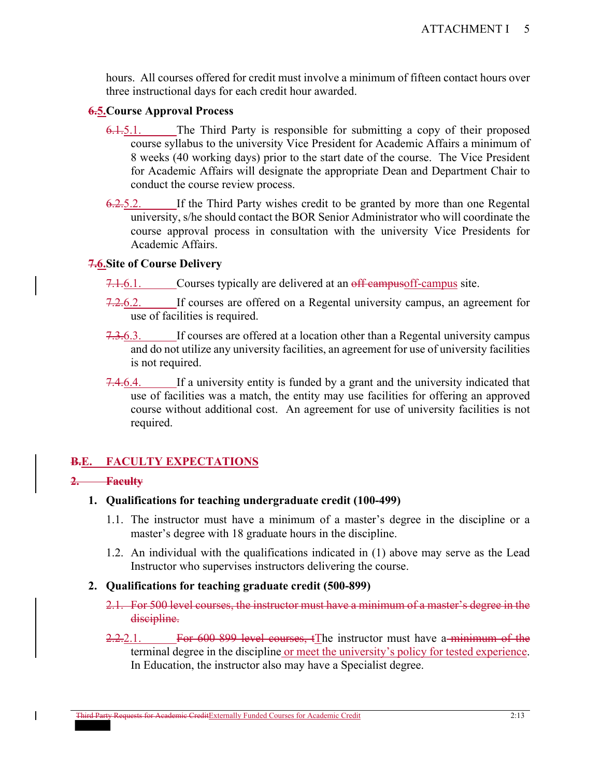hours. All courses offered for credit must involve a minimum of fifteen contact hours over three instructional days for each credit hour awarded.

#### **6.5.Course Approval Process**

- 6.1.5.1. The Third Party is responsible for submitting a copy of their proposed course syllabus to the university Vice President for Academic Affairs a minimum of 8 weeks (40 working days) prior to the start date of the course. The Vice President for Academic Affairs will designate the appropriate Dean and Department Chair to conduct the course review process.
- 6.2.5.2. If the Third Party wishes credit to be granted by more than one Regental university, s/he should contact the BOR Senior Administrator who will coordinate the course approval process in consultation with the university Vice Presidents for Academic Affairs.

#### **7.6.Site of Course Delivery**

- 7.1.6.1. Courses typically are delivered at an off campus of f-campus site.
- 7.2.6.2. If courses are offered on a Regental university campus, an agreement for use of facilities is required.
- 7.3.6.3. If courses are offered at a location other than a Regental university campus and do not utilize any university facilities, an agreement for use of university facilities is not required.
- 7.4.6.4. If a university entity is funded by a grant and the university indicated that use of facilities was a match, the entity may use facilities for offering an approved course without additional cost. An agreement for use of university facilities is not required.

# **B.E. FACULTY EXPECTATIONS**

#### **2. Faculty**

- **1. Qualifications for teaching undergraduate credit (100-499)** 
	- 1.1. The instructor must have a minimum of a master's degree in the discipline or a master's degree with 18 graduate hours in the discipline.
	- 1.2. An individual with the qualifications indicated in (1) above may serve as the Lead Instructor who supervises instructors delivering the course.

## **2. Qualifications for teaching graduate credit (500-899)**

- 2.1. For 500 level courses, the instructor must have a minimum of a master's degree in the discipline.
- 2.2.2.1. For 600 899 level courses, the instructor must have a minimum of the terminal degree in the discipline or meet the university's policy for tested experience. In Education, the instructor also may have a Specialist degree.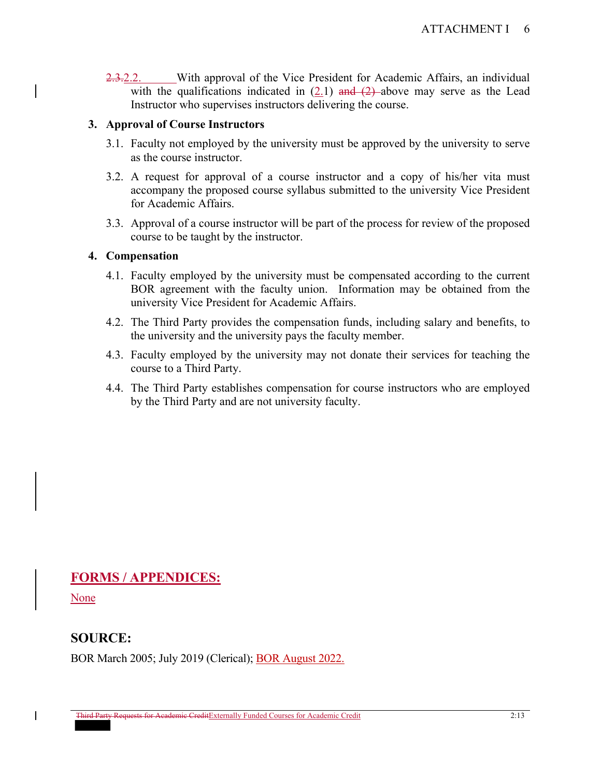2.3.2.2. With approval of the Vice President for Academic Affairs, an individual with the qualifications indicated in  $(2.1)$  and  $(2)$ -above may serve as the Lead Instructor who supervises instructors delivering the course.

## **3. Approval of Course Instructors**

- 3.1. Faculty not employed by the university must be approved by the university to serve as the course instructor.
- 3.2. A request for approval of a course instructor and a copy of his/her vita must accompany the proposed course syllabus submitted to the university Vice President for Academic Affairs.
- 3.3. Approval of a course instructor will be part of the process for review of the proposed course to be taught by the instructor.

#### **4. Compensation**

- 4.1. Faculty employed by the university must be compensated according to the current BOR agreement with the faculty union. Information may be obtained from the university Vice President for Academic Affairs.
- 4.2. The Third Party provides the compensation funds, including salary and benefits, to the university and the university pays the faculty member.
- 4.3. Faculty employed by the university may not donate their services for teaching the course to a Third Party.
- 4.4. The Third Party establishes compensation for course instructors who are employed by the Third Party and are not university faculty.

# **FORMS / APPENDICES:**

**None** 

# **SOURCE:**

BOR March 2005; July 2019 (Clerical); BOR August 2022.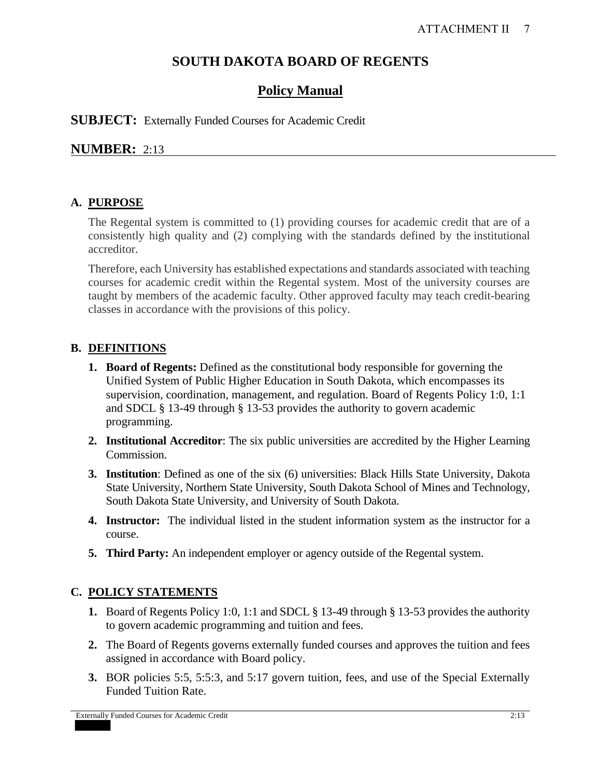# **SOUTH DAKOTA BOARD OF REGENTS**

# **Policy Manual**

**SUBJECT:** Externally Funded Courses for Academic Credit

# **NUMBER:** 2:13

# **A. PURPOSE**

The Regental system is committed to (1) providing courses for academic credit that are of a consistently high quality and (2) complying with the standards defined by the institutional accreditor.

Therefore, each University has established expectations and standards associated with teaching courses for academic credit within the Regental system. Most of the university courses are taught by members of the academic faculty. Other approved faculty may teach credit-bearing classes in accordance with the provisions of this policy.

## **B. DEFINITIONS**

- **1. Board of Regents:** Defined as the constitutional body responsible for governing the Unified System of Public Higher Education in South Dakota, which encompasses its supervision, coordination, management, and regulation. Board of Regents Policy 1:0, 1:1 and SDCL § 13-49 through § 13-53 provides the authority to govern academic programming.
- **2. Institutional Accreditor**: The six public universities are accredited by the Higher Learning Commission.
- **3. Institution**: Defined as one of the six (6) universities: Black Hills State University, Dakota State University, Northern State University, South Dakota School of Mines and Technology, South Dakota State University, and University of South Dakota.
- **4. Instructor:** The individual listed in the student information system as the instructor for a course.
- **5. Third Party:** An independent employer or agency outside of the Regental system.

# **C. POLICY STATEMENTS**

- **1.** Board of Regents Policy 1:0, 1:1 and SDCL § 13-49 through § 13-53 provides the authority to govern academic programming and tuition and fees.
- **2.** The Board of Regents governs externally funded courses and approves the tuition and fees assigned in accordance with Board policy.
- **3.** BOR policies 5:5, 5:5:3, and 5:17 govern tuition, fees, and use of the Special Externally Funded Tuition Rate.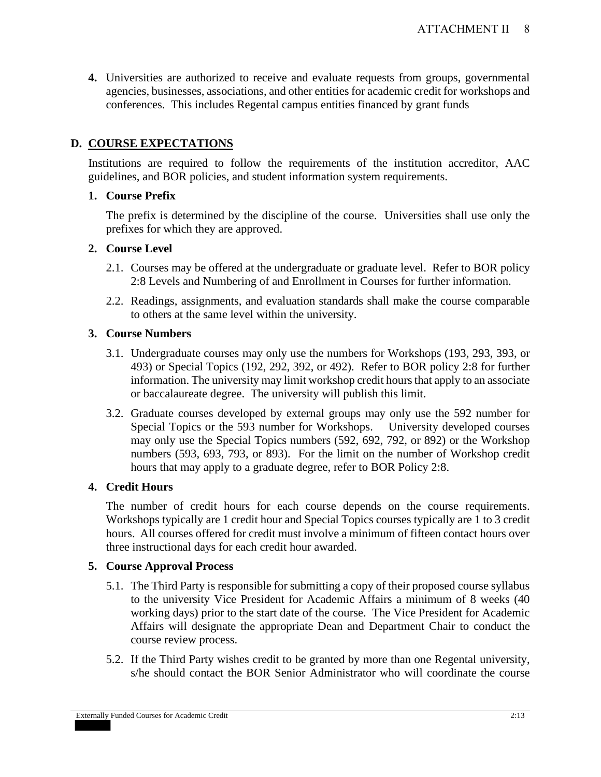**4.** Universities are authorized to receive and evaluate requests from groups, governmental agencies, businesses, associations, and other entities for academic credit for workshops and conferences. This includes Regental campus entities financed by grant funds

# **D. COURSE EXPECTATIONS**

Institutions are required to follow the requirements of the institution accreditor, AAC guidelines, and BOR policies, and student information system requirements.

## **1. Course Prefix**

The prefix is determined by the discipline of the course. Universities shall use only the prefixes for which they are approved.

## **2. Course Level**

- 2.1. Courses may be offered at the undergraduate or graduate level. Refer to BOR policy 2:8 Levels and Numbering of and Enrollment in Courses for further information.
- 2.2. Readings, assignments, and evaluation standards shall make the course comparable to others at the same level within the university.

# **3. Course Numbers**

- 3.1. Undergraduate courses may only use the numbers for Workshops (193, 293, 393, or 493) or Special Topics (192, 292, 392, or 492). Refer to BOR policy 2:8 for further information. The university may limit workshop credit hours that apply to an associate or baccalaureate degree. The university will publish this limit.
- 3.2. Graduate courses developed by external groups may only use the 592 number for Special Topics or the 593 number for Workshops. University developed courses may only use the Special Topics numbers (592, 692, 792, or 892) or the Workshop numbers (593, 693, 793, or 893). For the limit on the number of Workshop credit hours that may apply to a graduate degree, refer to BOR Policy 2:8.

# **4. Credit Hours**

The number of credit hours for each course depends on the course requirements. Workshops typically are 1 credit hour and Special Topics courses typically are 1 to 3 credit hours. All courses offered for credit must involve a minimum of fifteen contact hours over three instructional days for each credit hour awarded.

## **5. Course Approval Process**

- 5.1. The Third Party is responsible for submitting a copy of their proposed course syllabus to the university Vice President for Academic Affairs a minimum of 8 weeks (40 working days) prior to the start date of the course. The Vice President for Academic Affairs will designate the appropriate Dean and Department Chair to conduct the course review process.
- 5.2. If the Third Party wishes credit to be granted by more than one Regental university, s/he should contact the BOR Senior Administrator who will coordinate the course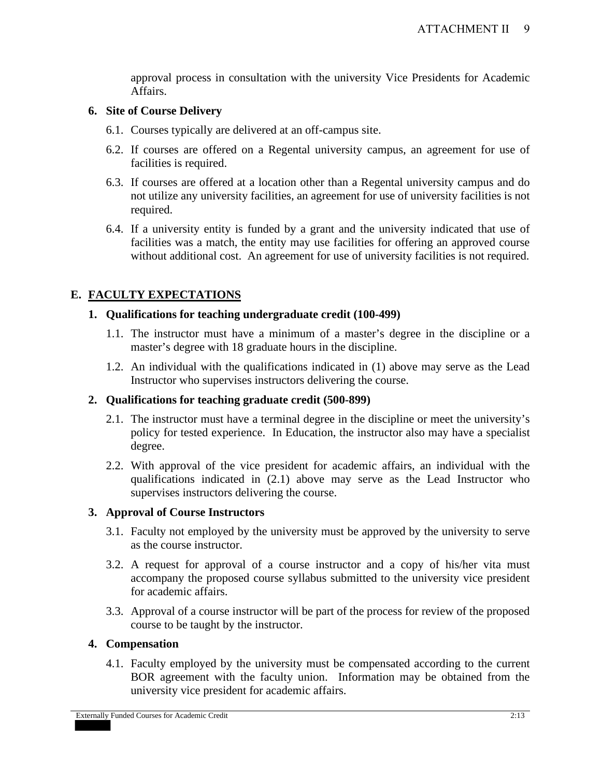approval process in consultation with the university Vice Presidents for Academic Affairs.

#### **6. Site of Course Delivery**

- 6.1. Courses typically are delivered at an off-campus site.
- 6.2. If courses are offered on a Regental university campus, an agreement for use of facilities is required.
- 6.3. If courses are offered at a location other than a Regental university campus and do not utilize any university facilities, an agreement for use of university facilities is not required.
- 6.4. If a university entity is funded by a grant and the university indicated that use of facilities was a match, the entity may use facilities for offering an approved course without additional cost. An agreement for use of university facilities is not required.

# **E. FACULTY EXPECTATIONS**

#### **1. Qualifications for teaching undergraduate credit (100-499)**

- 1.1. The instructor must have a minimum of a master's degree in the discipline or a master's degree with 18 graduate hours in the discipline.
- 1.2. An individual with the qualifications indicated in (1) above may serve as the Lead Instructor who supervises instructors delivering the course.

#### **2. Qualifications for teaching graduate credit (500-899)**

- 2.1. The instructor must have a terminal degree in the discipline or meet the university's policy for tested experience. In Education, the instructor also may have a specialist degree.
- 2.2. With approval of the vice president for academic affairs, an individual with the qualifications indicated in (2.1) above may serve as the Lead Instructor who supervises instructors delivering the course.

## **3. Approval of Course Instructors**

- 3.1. Faculty not employed by the university must be approved by the university to serve as the course instructor.
- 3.2. A request for approval of a course instructor and a copy of his/her vita must accompany the proposed course syllabus submitted to the university vice president for academic affairs.
- 3.3. Approval of a course instructor will be part of the process for review of the proposed course to be taught by the instructor.

#### **4. Compensation**

4.1. Faculty employed by the university must be compensated according to the current BOR agreement with the faculty union. Information may be obtained from the university vice president for academic affairs.